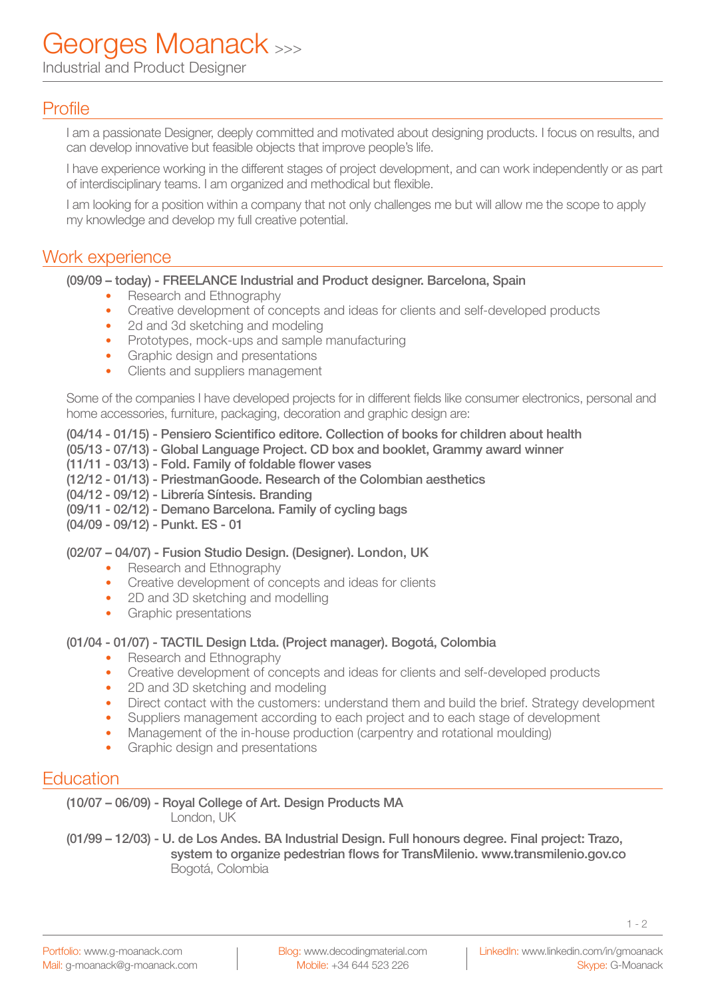Industrial and Product Designer

# Profile

I am a passionate Designer, deeply committed and motivated about designing products. I focus on results, and can develop innovative but feasible objects that improve people's life.

I have experience working in the different stages of project development, and can work independently or as part of interdisciplinary teams. I am organized and methodical but flexible.

I am looking for a position within a company that not only challenges me but will allow me the scope to apply my knowledge and develop my full creative potential.

## Work experience

#### (09/09 – today) - FREELANCE Industrial and Product designer. Barcelona, Spain

- Research and Ethnography
- Creative development of concepts and ideas for clients and self-developed products
- 2d and 3d sketching and modeling
- Prototypes, mock-ups and sample manufacturing
- Graphic design and presentations
- Clients and suppliers management

Some of the companies I have developed projects for in different fields like consumer electronics, personal and home accessories, furniture, packaging, decoration and graphic design are:

### (04/14 - 01/15) - Pensiero Scientifico editore. Collection of books for children about health

- (05/13 07/13) Global Language Project. CD box and booklet, Grammy award winner
- (11/11 03/13) Fold. Family of foldable flower vases
- (12/12 01/13) PriestmanGoode. Research of the Colombian aesthetics
- (04/12 09/12) Librería Síntesis. Branding
- (09/11 02/12) Demano Barcelona. Family of cycling bags
- (04/09 09/12) Punkt. ES 01

### (02/07 – 04/07) - Fusion Studio Design. (Designer). London, UK

- Research and Ethnography
- Creative development of concepts and ideas for clients
- 2D and 3D sketching and modelling
- Graphic presentations

### (01/04 - 01/07) - TACTIL Design Ltda. (Project manager). Bogotá, Colombia

- Research and Ethnography
- Creative development of concepts and ideas for clients and self-developed products
- 2D and 3D sketching and modeling
- Direct contact with the customers: understand them and build the brief. Strategy development
- Suppliers management according to each project and to each stage of development
- Management of the in-house production (carpentry and rotational moulding)
- Graphic design and presentations

## **Education**

(10/07 – 06/09) - Royal College of Art. Design Products MA London, UK

(01/99 – 12/03) - U. de Los Andes. BA Industrial Design. Full honours degree. Final project: Trazo, system to organize pedestrian flows for TransMilenio. www.transmilenio.gov.co Bogotá, Colombia